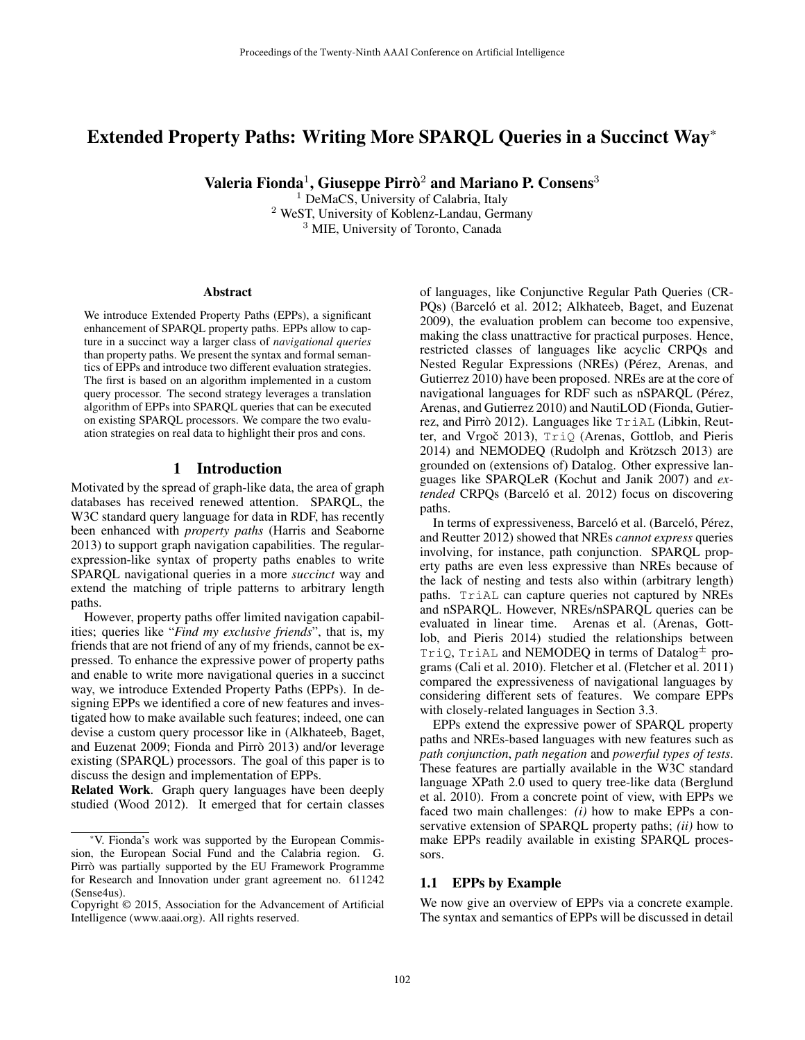# Extended Property Paths: Writing More SPARQL Queries in a Succinct Way\*

Valeria Fionda $^1$ , Giuseppe Pirrò $^2$  and Mariano P. Consens $^3$ 

<sup>1</sup> DeMaCS, University of Calabria, Italy <sup>2</sup> WeST, University of Koblenz-Landau, Germany <sup>3</sup> MIE, University of Toronto, Canada

#### Abstract

We introduce Extended Property Paths (EPPs), a significant enhancement of SPARQL property paths. EPPs allow to capture in a succinct way a larger class of *navigational queries* than property paths. We present the syntax and formal semantics of EPPs and introduce two different evaluation strategies. The first is based on an algorithm implemented in a custom query processor. The second strategy leverages a translation algorithm of EPPs into SPARQL queries that can be executed on existing SPARQL processors. We compare the two evaluation strategies on real data to highlight their pros and cons.

# 1 Introduction

Motivated by the spread of graph-like data, the area of graph databases has received renewed attention. SPARQL, the W3C standard query language for data in RDF, has recently been enhanced with *property paths* (Harris and Seaborne 2013) to support graph navigation capabilities. The regularexpression-like syntax of property paths enables to write SPARQL navigational queries in a more *succinct* way and extend the matching of triple patterns to arbitrary length paths.

However, property paths offer limited navigation capabilities; queries like "*Find my exclusive friends*", that is, my friends that are not friend of any of my friends, cannot be expressed. To enhance the expressive power of property paths and enable to write more navigational queries in a succinct way, we introduce Extended Property Paths (EPPs). In designing EPPs we identified a core of new features and investigated how to make available such features; indeed, one can devise a custom query processor like in (Alkhateeb, Baget, and Euzenat 2009; Fionda and Pirrò 2013) and/or leverage existing (SPARQL) processors. The goal of this paper is to discuss the design and implementation of EPPs.

Related Work. Graph query languages have been deeply studied (Wood 2012). It emerged that for certain classes of languages, like Conjunctive Regular Path Queries (CR-PQs) (Barceló et al. 2012; Alkhateeb, Baget, and Euzenat 2009), the evaluation problem can become too expensive, making the class unattractive for practical purposes. Hence, restricted classes of languages like acyclic CRPQs and Nested Regular Expressions (NREs) (Pérez, Arenas, and Gutierrez 2010) have been proposed. NREs are at the core of navigational languages for RDF such as nSPARQL (Pérez, Arenas, and Gutierrez 2010) and NautiLOD (Fionda, Gutierrez, and Pirrò 2012). Languages like  $TriAL$  (Libkin, Reutter, and Vrgoč 2013), TriQ (Arenas, Gottlob, and Pieris 2014) and NEMODEQ (Rudolph and Krötzsch 2013) are grounded on (extensions of) Datalog. Other expressive languages like SPARQLeR (Kochut and Janik 2007) and *extended* CRPQs (Barceló et al. 2012) focus on discovering paths.

In terms of expressiveness, Barceló et al. (Barceló, Pérez, and Reutter 2012) showed that NREs *cannot express* queries involving, for instance, path conjunction. SPARQL property paths are even less expressive than NREs because of the lack of nesting and tests also within (arbitrary length) paths. TriAL can capture queries not captured by NREs and nSPARQL. However, NREs/nSPARQL queries can be evaluated in linear time. Arenas et al. (Arenas, Gottlob, and Pieris 2014) studied the relationships between TriQ, TriAL and NEMODEQ in terms of Datalog<sup> $\pm$ </sup> programs (Cali et al. 2010). Fletcher et al. (Fletcher et al. 2011) compared the expressiveness of navigational languages by considering different sets of features. We compare EPPs with closely-related languages in Section 3.3.

EPPs extend the expressive power of SPARQL property paths and NREs-based languages with new features such as *path conjunction*, *path negation* and *powerful types of tests*. These features are partially available in the W3C standard language XPath 2.0 used to query tree-like data (Berglund et al. 2010). From a concrete point of view, with EPPs we faced two main challenges: *(i)* how to make EPPs a conservative extension of SPARQL property paths; *(ii)* how to make EPPs readily available in existing SPARQL processors.

### 1.1 EPPs by Example

We now give an overview of EPPs via a concrete example. The syntax and semantics of EPPs will be discussed in detail

<sup>\*</sup>V. Fionda's work was supported by the European Commission, the European Social Fund and the Calabria region. G. Pirrò was partially supported by the EU Framework Programme for Research and Innovation under grant agreement no. 611242 (Sense4us).

Copyright © 2015, Association for the Advancement of Artificial Intelligence (www.aaai.org). All rights reserved.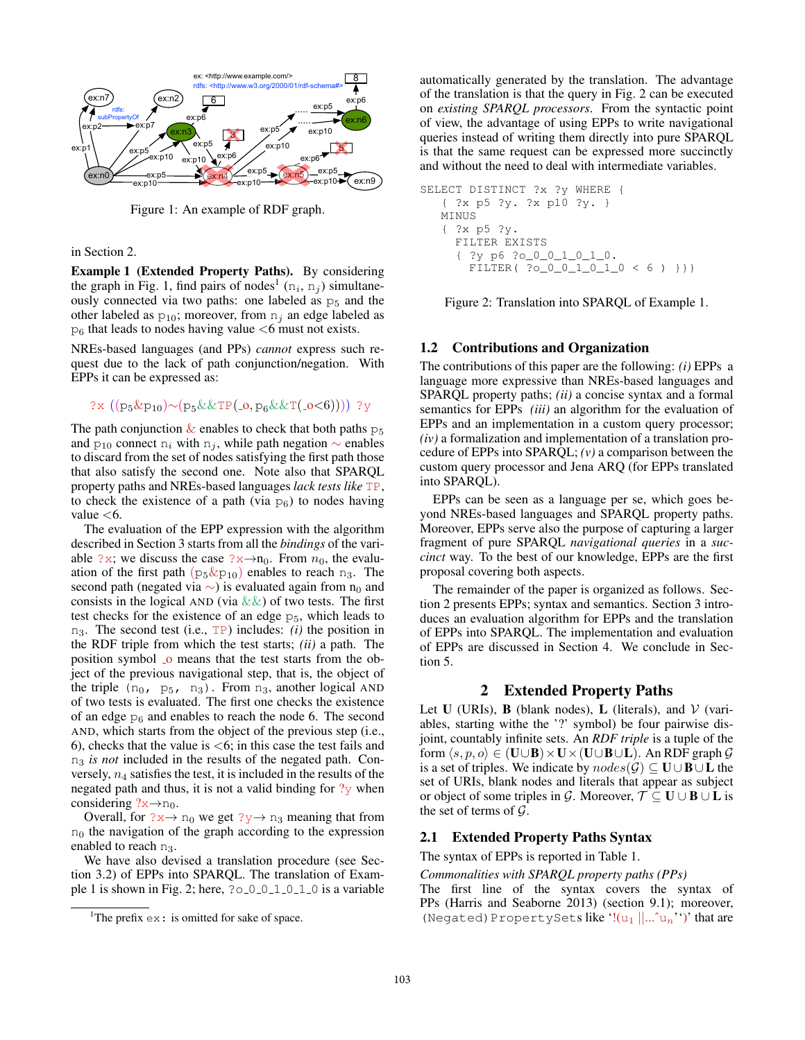

Figure 1: An example of RDF graph.

#### in Section 2.

Example 1 (Extended Property Paths). By considering the graph in Fig. 1, find pairs of nodes<sup>1</sup> ( $n_i$ ,  $n_j$ ) simultaneously connected via two paths: one labeled as  $p<sub>5</sub>$  and the other labeled as  $p_{10}$ ; moreover, from  $n_i$  an edge labeled as  $p_6$  that leads to nodes having value  $\lt 6$  must not exists.

NREs-based languages (and PPs) *cannot* express such request due to the lack of path conjunction/negation. With EPPs it can be expressed as:

# ?x ((p<sub>5</sub>&p<sub>10</sub>)∼(p<sub>5</sub>&&TP(\_o, p<sub>6</sub>&&T(\_o<6)))) ?y

The path conjunction  $\&$  enables to check that both paths  $p_5$ and  $p_{10}$  connect n<sub>i</sub> with n<sub>i</sub>, while path negation  $\sim$  enables to discard from the set of nodes satisfying the first path those that also satisfy the second one. Note also that SPARQL property paths and NREs-based languages *lack tests like* TP, to check the existence of a path (via  $p_6$ ) to nodes having value  $<$ 6.

The evaluation of the EPP expression with the algorithm described in Section 3 starts from all the *bindings* of the variable ?x; we discuss the case ?x→n<sub>0</sub>. From  $n_0$ , the evaluation of the first path  $(p_5 \& p_{10})$  enables to reach  $n_3$ . The second path (negated via  $\sim$ ) is evaluated again from n<sub>0</sub> and consists in the logical AND (via  $\&\&$ ) of two tests. The first test checks for the existence of an edge  $p_5$ , which leads to n3. The second test (i.e., TP) includes: *(i)* the position in the RDF triple from which the test starts; *(ii)* a path. The position symbol <sub>o</sub> means that the test starts from the object of the previous navigational step, that is, the object of the triple  $(n_0, p_5, n_3)$ . From  $n_3$ , another logical AND of two tests is evaluated. The first one checks the existence of an edge  $p<sub>6</sub>$  and enables to reach the node 6. The second AND, which starts from the object of the previous step (i.e., 6), checks that the value is  $\lt 6$ ; in this case the test fails and n<sup>3</sup> *is not* included in the results of the negated path. Conversely,  $n_4$  satisfies the test, it is included in the results of the negated path and thus, it is not a valid binding for  $\frac{2}{y}$  when considering  $?x \rightarrow n_0$ .

Overall, for  $?x \rightarrow n_0$  we get  $?y \rightarrow n_3$  meaning that from  $n_0$  the navigation of the graph according to the expression enabled to reach n<sub>3</sub>.

We have also devised a translation procedure (see Section 3.2) of EPPs into SPARQL. The translation of Example 1 is shown in Fig. 2; here,  $?0 - 0 - 1 - 0 - 1 - 0$  is a variable

automatically generated by the translation. The advantage of the translation is that the query in Fig. 2 can be executed on *existing SPARQL processors*. From the syntactic point of view, the advantage of using EPPs to write navigational queries instead of writing them directly into pure SPARQL is that the same request can be expressed more succinctly and without the need to deal with intermediate variables.

```
SELECT DISTINCT ?x ?y WHERE {
  { ?x p5 ?y. ?x p10 ?y. }
  MINUS
   { ?x p5 ?y.
    FILTER EXISTS
     { ?y p6 ?o_0_0_1_0_1_0.
      FILTER( ?o_0_0_1_0_1_0 < 6) }}}
```
Figure 2: Translation into SPARQL of Example 1.

# 1.2 Contributions and Organization

The contributions of this paper are the following: *(i)* EPPs a language more expressive than NREs-based languages and SPARQL property paths; *(ii)* a concise syntax and a formal semantics for EPPs *(iii)* an algorithm for the evaluation of EPPs and an implementation in a custom query processor; *(iv)* a formalization and implementation of a translation procedure of EPPs into SPARQL; *(v)* a comparison between the custom query processor and Jena ARQ (for EPPs translated into SPARQL).

EPPs can be seen as a language per se, which goes beyond NREs-based languages and SPARQL property paths. Moreover, EPPs serve also the purpose of capturing a larger fragment of pure SPARQL *navigational queries* in a *succinct* way. To the best of our knowledge, EPPs are the first proposal covering both aspects.

The remainder of the paper is organized as follows. Section 2 presents EPPs; syntax and semantics. Section 3 introduces an evaluation algorithm for EPPs and the translation of EPPs into SPARQL. The implementation and evaluation of EPPs are discussed in Section 4. We conclude in Section 5.

### 2 Extended Property Paths

Let U (URIs), **B** (blank nodes), **L** (literals), and  $V$  (variables, starting withe the '?' symbol) be four pairwise disjoint, countably infinite sets. An *RDF triple* is a tuple of the form  $\langle s, p, o \rangle \in (U \cup B) \times U \times (U \cup B \cup L)$ . An RDF graph  $\mathcal G$ is a set of triples. We indicate by  $nodes(\mathcal{G}) \subseteq \mathbf{U} \cup \mathbf{B} \cup \mathbf{L}$  the set of URIs, blank nodes and literals that appear as subject or object of some triples in G. Moreover,  $\mathcal{T} \subseteq \mathbf{U} \cup \mathbf{B} \cup \mathbf{L}$  is the set of terms of  $\mathcal{G}$ .

# 2.1 Extended Property Paths Syntax

The syntax of EPPs is reported in Table 1.

*Commonalities with SPARQL property paths (PPs)*

The first line of the syntax covers the syntax of PPs (Harris and Seaborne 2013) (section 9.1); moreover, (Negated) PropertySets like ' $!(u_1 ||...`u_n'')'$  that are

<sup>&</sup>lt;sup>1</sup>The prefix  $ex:$  is omitted for sake of space.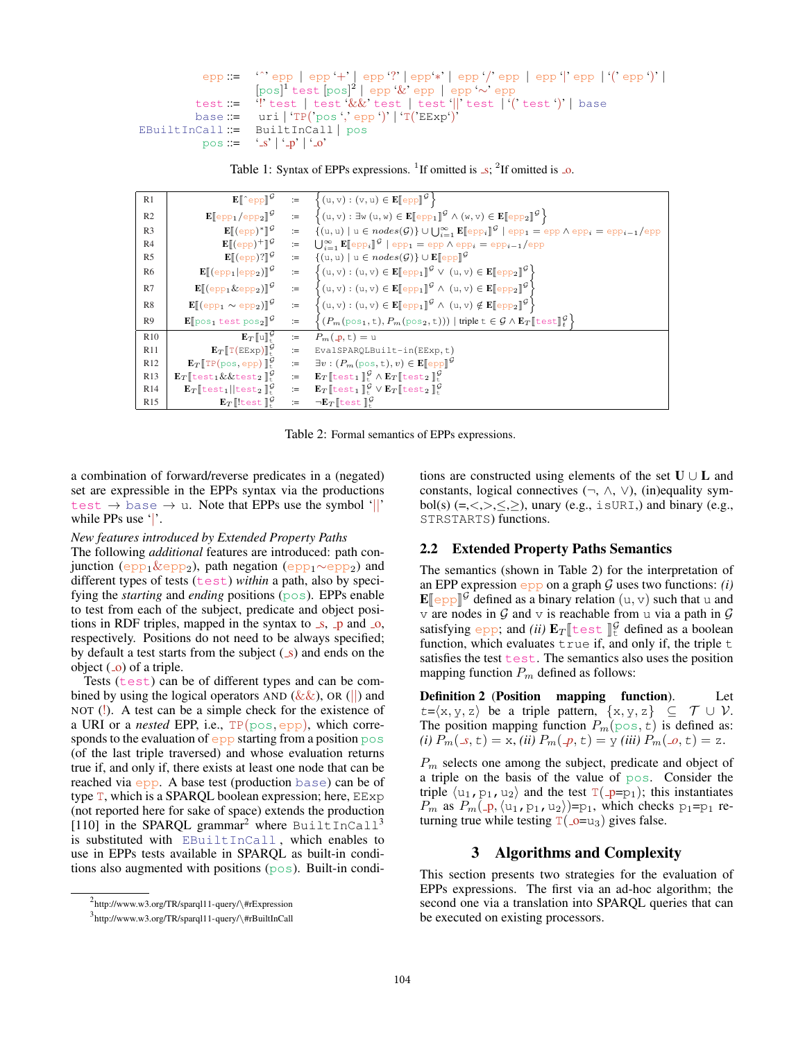```
epp ::= 'ˆ' epp | epp '+' | epp '?' | epp'∗' | epp '/' epp | epp '|' epp | '(' epp ')' |
                     [pos]
1 test [pos]
2
| epp '&' epp | epp '∼' epp
          test := '!' test | test '&&' test | test '||' test | '(' test ')' | base
          base := uri | 'TP('pos ',' epp ')' | 'T('EExp')'
EBuiltInCall ::= BuiltInCall | pos
           pos ::= 's' | '_p' | '_o'
```
Table 1: Syntax of EPPs expressions. <sup>1</sup> If omitted is  $\Box s$ ; <sup>2</sup> If omitted is  $\Box o$ .

| R1              |                                                                                             |      | $\mathbf{E}[\![\hat{\ }_{\text{epp}}]\!]^{\mathcal{G}}$ := $\{(u,v): (v,u) \in \mathbf{E}[\![\text{epp}]\!]^{\mathcal{G}}\}$                                                                                   |
|-----------------|---------------------------------------------------------------------------------------------|------|----------------------------------------------------------------------------------------------------------------------------------------------------------------------------------------------------------------|
| R <sub>2</sub>  | $\mathbf{E}[\text{epp}_1/\text{epp}_2]^{\mathcal{G}}$ :=                                    |      | $\{(\mathbf{u}, \mathbf{v}) : \exists \mathbf{w} (\mathbf{u}, \mathbf{w}) \in \mathbf{E}[\![\text{epp}_1]\!]^{\mathcal{G}} \wedge (\mathbf{w}, \mathbf{v}) \in \mathbf{E}[\![\text{epp}_2]\!]^{\mathcal{G}}\}$ |
| R <sub>3</sub>  | $\mathbf{E}[(epp)^*]^{\mathcal{G}}$                                                         | $:=$ | $\{(u, u) \mid u \in nodes(\mathcal{G})\} \cup \bigcup_{i=1}^{\infty} \mathbf{E}[\exp_i]^{\mathcal{G}}$   epp <sub>1</sub> = epp $\wedge$ epp <sub>i</sub> = epp <sub>i-1</sub> /epp                           |
| R <sub>4</sub>  |                                                                                             |      | $\mathbf{E}[(epp)^+]^\mathcal{G}$ := $\bigcup_{i=1}^\infty \mathbf{E}[\![epp_i]\!]^\mathcal{G}$   $epp_1 = epp \wedge epp_i = epp_{i-1}/epp$                                                                   |
| R <sub>5</sub>  | $\mathbf{E}[\![\text{(epp)}?]\!]^{\mathcal{G}}$                                             | $:=$ | $\{(u, u) \mid u \in nodes(\mathcal{G})\} \cup \mathbf{E}[\infty]$                                                                                                                                             |
| R <sub>6</sub>  | $\mathbf{E}[\![\text{(epp}_1 \text{epp}_2)]\!]^{\mathcal{G}}$                               | $:=$ | $\left\{(u, v) : (u, v) \in \mathbf{E}[\[\exp_1]\]^\mathcal{G} \lor (u, v) \in \mathbf{E}[\[\exp_2]\]^\mathcal{G}\right\}$                                                                                     |
| R7              | $\mathbf{E}[\![\mathrm{(epp_{1}\&epp_{2})}]\!]^{\mathcal{G}}$                               | $:=$ | $\{(u, v) : (u, v) \in \mathbf{E}[\![\text{epp}_1]\!]^{\mathcal{G}} \wedge (u, v) \in \mathbf{E}[\![\text{epp}_2]\!]^{\mathcal{G}}\}$                                                                          |
| R8              | $\mathbf{E}[\![\text{(epp}_1 \sim \text{epp}_2)]\!]^{\mathcal{G}}$                          | $:=$ | $\left\{(u, v) : (u, v) \in \mathbf{E}[\![\text{epp}_1]\!]^{\mathcal{G}} \wedge (u, v) \notin \mathbf{E}[\![\text{epp}_2]\!]^{\mathcal{G}}\right\}$                                                            |
| R9              | $\mathbf{E}[\cos_1 \text{test pos}_2]$ <sup>G</sup>                                         | $:=$ | $\left\{ (P_m(\text{pos}_1, t), P_m(\text{pos}_2, t))) \mid \text{triple } t \in \mathcal{G} \land \mathbf{E}_T \llbracket \text{test} \rrbracket_f^{\mathcal{G}} \right\}$                                    |
| R10             | $\mathbf{E}_T[\![\mathbf{u}]\!]_+^{\mathcal{G}}$                                            | $:=$ | $P_m(\underline{\mathsf{p}},\underline{\mathsf{t}})=\underline{\mathsf{u}}$                                                                                                                                    |
| R11             | $\mathbf{E}_{\mathcal{T}}[\![\mathbb{T}(\text{EExp})]\!]_+^{\mathcal{G}}$                   | $:=$ | EvalSPARQLBuilt-in(EExp,t)                                                                                                                                                                                     |
| R <sub>12</sub> | $\mathbf{E}_T$ [TP(pos, epp) $\mathbb{I}^{\mathcal{G}}_+$                                   | $:=$ | $\exists v : (P_m(\text{pos}, t), v) \in \mathbb{E}[\![\text{epp}]\!]^{\mathcal{G}}$                                                                                                                           |
| R <sub>13</sub> | $\mathbf{E}_T$ [test <sub>1</sub> & & test <sub>2</sub> ] <sup>9</sup>                      | $:=$ | $\mathbf{E}_T$ [test <sub>1</sub> ] <sup><math>\mathcal{G}</math></sup> $\wedge$ $\mathbf{E}_T$ [test <sub>2</sub> ] $\mathcal{G}$                                                                             |
| R14             | $\mathbf{E}_T$ [test <sub>1</sub>   test <sub>2</sub> ] <sup><math>\mathcal{G}</math></sup> | $:=$ | $\mathbf{E}_T$ [test <sub>1</sub> ] <sup><math>\mathcal{G}</math></sup> $\vee$ $\mathbf{E}_T$ [test <sub>2</sub> ] <sup><math>\mathcal{G}</math></sup>                                                         |
| R <sub>15</sub> | $\mathbf{E}_{\mathcal{T}}$ lest $\mathbb{I}^{\mathcal{G}}$                                  | $:=$ | $\neg E_{T}$ [test] <sup>9</sup>                                                                                                                                                                               |
|                 |                                                                                             |      |                                                                                                                                                                                                                |

Table 2: Formal semantics of EPPs expressions.

a combination of forward/reverse predicates in a (negated) set are expressible in the EPPs syntax via the productions test  $\rightarrow$  base  $\rightarrow$  u. Note that EPPs use the symbol '||' while PPs use '|'.

# *New features introduced by Extended Property Paths*

The following *additional* features are introduced: path conjunction (epp<sub>1</sub>&epp<sub>2</sub>), path negation (epp<sub>1</sub>∼epp<sub>2</sub>) and different types of tests (test) *within* a path, also by specifying the *starting* and *ending* positions (pos). EPPs enable to test from each of the subject, predicate and object positions in RDF triples, mapped in the syntax to  $\Box$ s,  $\Box$ p and  $\Box$ o, respectively. Positions do not need to be always specified; by default a test starts from the subject  $(\_s)$  and ends on the object  $(0)$  of a triple.

Tests (test) can be of different types and can be combined by using the logical operators AND  $(\&\&)$ , OR (||) and NOT (!). A test can be a simple check for the existence of a URI or a *nested* EPP, i.e., TP(pos, epp), which corresponds to the evaluation of epp starting from a position pos (of the last triple traversed) and whose evaluation returns true if, and only if, there exists at least one node that can be reached via epp. A base test (production base) can be of type T, which is a SPARQL boolean expression; here, EExp (not reported here for sake of space) extends the production [110] in the SPARQL grammar<sup>2</sup> where BuiltInCall<sup>3</sup> is substituted with EBuiltInCall , which enables to use in EPPs tests available in SPARQL as built-in conditions also augmented with positions (pos). Built-in conditions are constructed using elements of the set  $U \cup L$  and constants, logical connectives  $(\neg, \wedge, \vee)$ , (in)equality symbol(s)  $(=, <, >, \leq, \geq)$ , unary (e.g., isURI,) and binary (e.g., STRSTARTS) functions.

# 2.2 Extended Property Paths Semantics

The semantics (shown in Table 2) for the interpretation of an EPP expression  $\epsilon$ <sub>PP</sub> on a graph G uses two functions: *(i)*  $\mathbf{E}$ [epp]<sup> $\mathcal{G}$ </sup> defined as a binary relation  $(u, v)$  such that u and v are nodes in G and v is reachable from u via a path in G  $\vee$  are nodes in  $\mathcal G$  and  $\vee$  is reachable from u via a path in  $\mathcal G$ satisfying epp; and *(ii)*  $\mathbf{E}_T$  [test ]  $_1^{\mathcal{G}}$  defined as a boolean function which evaluates t rue if and only if the triple t function, which evaluates  $true$  if, and only if, the triple  $t$ satisfies the test test. The semantics also uses the position mapping function  $P_m$  defined as follows:

Definition 2 (Position mapping function). Let  $t=\langle x, y, z \rangle$  be a triple pattern,  $\{x, y, z\} \subseteq \mathcal{T} \cup \mathcal{V}$ . The position mapping function  $P_m(\text{pos}, t)$  is defined as: *(i)*  $P_m(\mathcal{A}, t) = x$ , *(ii)*  $P_m(\mathcal{A}, t) = y$  *(iii)*  $P_m(\mathcal{A}, t) = z$ .

 $P_m$  selects one among the subject, predicate and object of a triple on the basis of the value of pos. Consider the triple  $\langle u_1, p_1, u_2 \rangle$  and the test  $T(\text{-}p=p_1)$ ; this instantiates  $P_m$  as  $P_m(\mathcal{p},\langle u_1,p_1,u_2\rangle)=p_1$ , which checks  $p_1=p_1$  returning true while testing  $T(\text{10} = u_3)$  gives false.

# 3 Algorithms and Complexity

This section presents two strategies for the evaluation of EPPs expressions. The first via an ad-hoc algorithm; the second one via a translation into SPARQL queries that can be executed on existing processors.

<sup>2</sup> http://www.w3.org/TR/sparql11-query/\#rExpression

<sup>3</sup> http://www.w3.org/TR/sparql11-query/\#rBuiltInCall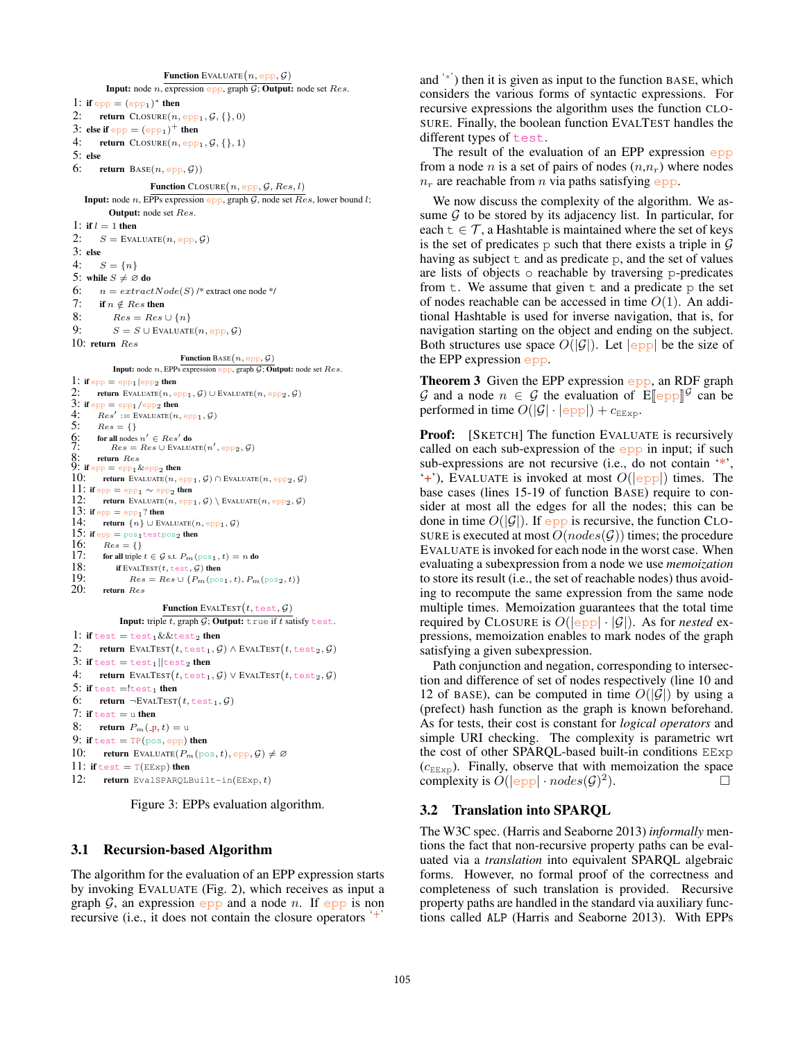**Function** EVALUATE $(n, \text{epp}, \mathcal{G})$ **Input:** node *n*, expression epp, graph  $G$ ; Output: node set Res. 1: if  $epp = (epp_1)^*$  then 2: return  $\text{ClosURE}(n, \text{epp}_1, \mathcal{G}, \{\}, 0)$ 3: else if  $epp = (epp<sub>1</sub>)<sup>+</sup>$  then 4: return  $C_{\text{LOSURE}}(n, \text{epp}_1, \mathcal{G}, \{\}, 1)$ 5: else 6: return  $\text{Base}(n, \text{epp}, \mathcal{G}))$ **Function** CLOSURE  $(n, \text{epp}, \mathcal{G}, Res, l)$ **Input:** node n, EPPs expression epp, graph G, node set  $Res$ , lower bound l; Output: node set Res. 1: if  $l = 1$  then 2:  $S =$  EVALUATE $(n, epp, \mathcal{G})$ 3: else 4:  $S = \{n\}$ 5: while  $S \neq \emptyset$  do 6:  $n = \text{extractNode}(S)$  /\* extract one node \*/ 7: if  $n \notin Res$  then 8:  $Res = Res \cup \{n\}$ 9:  $S = S \cup$  EVALUATE $(n, epp, \mathcal{G})$ 10: return Res Function BASE $(n, epp, \mathcal{G})$ Input: node  $n$ , EPPs expression epp, graph  $G$ ; Output: node set  $Res$ . 1: if  $epp = epp1|epp2$  then 2: return EVALUATE $(n, \text{epp}_1, \mathcal{G}) \cup$  EVALUATE $(n, \text{epp}_2, \mathcal{G})$ 3: if  $epp = epp_1/epp_2$  then<br>4:  $Res' :=$  EVALUATE(*n* 4:  $Res' :=$  EVALUATE $(n, epp_1, \mathcal{G})$ 5:  $Res = \{\}$ <br>6: for all nodes ?<br>7:  $Res =$  $\oint$ : for all nodes  $n' \in Res'$  do 7:  $Res = Res \cup EVALUATE(n', epp_2, \mathcal{G})$  $8:$  return  $Res$ <br>9: if  $_{\rm epp} =$   $_{\rm epp1}$  &  $_{\rm epp2}$  then return EVALUATE $(n, epp_1, \mathcal{G}) \cap$  EVALUATE $(n, epp_2, \mathcal{G})$ 11: if  $epp = epp1 \sim epp2$  then 12: **return** EVALUATE $(n, \text{epp}_1, \mathcal{G}) \setminus$  EVALUATE $(n, \text{epp}_2, \mathcal{G})$ 13: if  $epp = epp_1$ ? then<br>14: return  $\{n\} \cup Fv_1$ return  ${n}$  ∪ EVALUATE $(n, epp_1, G)$ 15: if  $epp = pos_1testpos_2$  then 16:  $Res = \{\}$ <br>17: for all triple t for all triple  $t \in \mathcal{G}$  s.t.  $P_m(\text{pos}_1, t) = n$  do 18: **if** EVALTEST(*t*, test, *G*) then<br>19:  $Res = Res \cup \{P_m(p)$ 19:  $Res = Res \cup \{P_m(\text{pos}_1, t), P_m(\text{pos}_2, t)\}$ <br>
20: return  $Res$ return Res Function EVALTEST $(t, \text{test}, \mathcal{G})$ Input: triple  $t$ , graph  $G$ ; Output: true if  $t$  satisfy test. 1: if test = test<sub>1</sub> & & test<sub>2</sub> then 2: return EVALTEST $(t, \text{test}_1, \mathcal{G}) \wedge \text{EVALTEST}(t, \text{test}_2, \mathcal{G})$ 3: if test  $=$  test<sub>1</sub> | test<sub>2</sub> then 4: return EVALTEST $(t, \text{test}_1, \mathcal{G}) \vee \text{EVALTEST}(t, \text{test}_2, \mathcal{G})$ 5: if  $test = !test_1$  then 6: return  $\neg$ EVALTEST $(t, \text{test}_1, \mathcal{G})$ 7: if  $test = u$  then 8: return  $P_m(\underline{\ } p, t) = u$ 9: if  $test = TP(pos, epp)$  then 10: return EVALUATE $(P_m(\text{pos}, t), \text{epp}, \mathcal{G}) \neq \varnothing$ 11: if test  $= T(EExp)$  then 12: return EvalSPARQLBuilt-in(EExp, t)

Figure 3: EPPs evaluation algorithm.

# 3.1 Recursion-based Algorithm

The algorithm for the evaluation of an EPP expression starts by invoking EVALUATE (Fig. 2), which receives as input a graph  $G$ , an expression epp and a node n. If epp is non recursive (i.e., it does not contain the closure operators '+'

and '∗' ) then it is given as input to the function BASE, which considers the various forms of syntactic expressions. For recursive expressions the algorithm uses the function CLO-SURE. Finally, the boolean function EVALTEST handles the different types of test.

The result of the evaluation of an EPP expression  $epp$ from a node *n* is a set of pairs of nodes  $(n,n_r)$  where nodes  $n_r$  are reachable from n via paths satisfying epp.

We now discuss the complexity of the algorithm. We assume  $G$  to be stored by its adjacency list. In particular, for each  $t \in \mathcal{T}$ , a Hashtable is maintained where the set of keys is the set of predicates  $p$  such that there exists a triple in  $G$ having as subject  $t$  and as predicate p, and the set of values are lists of objects o reachable by traversing p-predicates from  $t$ . We assume that given  $t$  and a predicate  $p$  the set of nodes reachable can be accessed in time  $O(1)$ . An additional Hashtable is used for inverse navigation, that is, for navigation starting on the object and ending on the subject. Both structures use space  $O(|\mathcal{G}|)$ . Let  $|epp|$  be the size of the EPP expression epp.

Theorem 3 Given the EPP expression epp, an RDF graph G and a node  $n \in G$  the evaluation of  $\mathbb{E}[\![\text{epp}]\!]^G$  can be nerformed in time  $O(|G| \cdot |\text{epp}|) + c_{\text{ce}}$ performed in time  $O(|\mathcal{G}| \cdot |\text{epp}|) + c_{\text{EExp}}$ .

Proof: [SKETCH] The function EVALUATE is recursively called on each sub-expression of the  $epp$  in input; if such sub-expressions are not recursive (i.e., do not contain '\*',  $'$ +'), EVALUATE is invoked at most  $O(|epp|)$  times. The base cases (lines 15-19 of function BASE) require to consider at most all the edges for all the nodes; this can be done in time  $O(|\mathcal{G}|)$ . If epp is recursive, the function CLO-SURE is executed at most  $O(nodes(\mathcal{G}))$  times; the procedure EVALUATE is invoked for each node in the worst case. When evaluating a subexpression from a node we use *memoization* to store its result (i.e., the set of reachable nodes) thus avoiding to recompute the same expression from the same node multiple times. Memoization guarantees that the total time required by CLOSURE is  $O(|epp| \cdot |\mathcal{G}|)$ . As for *nested* expressions, memoization enables to mark nodes of the graph satisfying a given subexpression.

Path conjunction and negation, corresponding to intersection and difference of set of nodes respectively (line 10 and 12 of BASE), can be computed in time  $O(|\mathcal{G}|)$  by using a (prefect) hash function as the graph is known beforehand. As for tests, their cost is constant for *logical operators* and simple URI checking. The complexity is parametric wrt the cost of other SPARQL-based built-in conditions EExp  $(c_{\text{EExp}})$ . Finally, observe that with memoization the space complexity is  $O(|epp| \cdot nodes(G)^2)$  $\Box$ ).

# 3.2 Translation into SPARQL

The W3C spec. (Harris and Seaborne 2013) *informally* mentions the fact that non-recursive property paths can be evaluated via a *translation* into equivalent SPARQL algebraic forms. However, no formal proof of the correctness and completeness of such translation is provided. Recursive property paths are handled in the standard via auxiliary functions called ALP (Harris and Seaborne 2013). With EPPs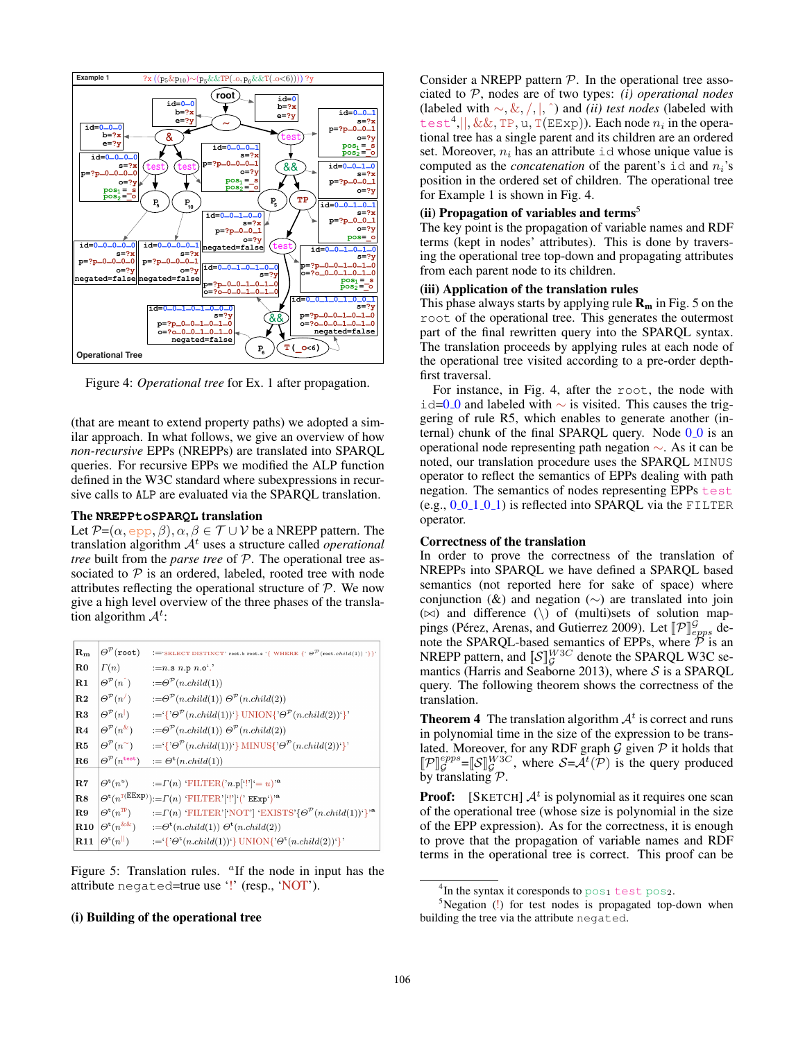

Figure 4: *Operational tree* for Ex. 1 after propagation.

(that are meant to extend property paths) we adopted a similar approach. In what follows, we give an overview of how *non-recursive* EPPs (NREPPs) are translated into SPARQL queries. For recursive EPPs we modified the ALP function defined in the W3C standard where subexpressions in recursive calls to ALP are evaluated via the SPARQL translation.

### The **NREPPtoSPARQL** translation

Let  $\mathcal{P}=(\alpha, \text{epp}, \beta), \alpha, \beta \in \mathcal{T} \cup \mathcal{V}$  be a NREPP pattern. The translation algorithm  $A<sup>t</sup>$  uses a structure called *operational tree* built from the *parse tree* of P. The operational tree associated to  $P$  is an ordered, labeled, rooted tree with node attributes reflecting the operational structure of  $P$ . We now give a high level overview of the three phases of the translation algorithm  $\mathcal{A}^t$ :

| $ \mathbf{R_{m}} $ | $\Theta^{\mathcal{P}}(\texttt{root})$     | :='SELECT DISTINCT' root.b root.e '{ WHERE {' $\Theta^{\mathcal{P}}$ (root.child(1)) '}}'                                                  |
|--------------------|-------------------------------------------|--------------------------------------------------------------------------------------------------------------------------------------------|
| $_{\rm  R0}$       | $\Gamma(n)$                               | := $n.\text{s}$ $n.\text{p}$ $n.\text{o}'$ .                                                                                               |
| R1                 | $\Theta^{\mathcal{P}}(n)$                 | $:=\Theta^{\mathcal{P}}(n.child(1))$                                                                                                       |
| $_{\rm R2}$        | $\Theta^{\mathcal{P}}(n')$                | $:=\Theta^{\mathcal{P}}(n\text{.child}(1))\Theta^{\mathcal{P}}(n\text{.child}(2))$                                                         |
| $_{\rm R3}$        | $\Theta^{\mathcal{P}}(n^{\vert})$         | $:= {\{^{\circ}\Theta^{\mathcal{P}}(n.child(1))^{i}\}\text{UNION}\{^{\circ}\Theta^{\mathcal{P}}(n.child(2))^{i}\}}$                        |
| R4                 | $\Theta^{\mathcal{P}}(n^{\&})$            | $:=\Theta^{\mathcal{P}}(n\text{.child}(1))\Theta^{\mathcal{P}}(n\text{.child}(2))$                                                         |
| R5                 | $\Theta^{\mathcal{P}}(n^{\sim})$          | $:= \{ \partial^{\mathcal{P}}(n \text{.child}(1))^{\mathcal{P}} \}$ MINUS $\{ \partial^{\mathcal{P}}(n \text{.child}(2))^{\mathcal{P}} \}$ |
| $_{\rm R6}$        | $\Theta^{\mathcal{P}}(n^{\texttt{test}})$ | $:= \Theta^{\text{t}}(n.child(1))$                                                                                                         |
| R7                 | $\Theta^{\rm t}(n^u)$                     | $:=\Gamma(n)$ 'FILTER('n.p['!']'= u)' <sup>a</sup>                                                                                         |
| $_{\rm R8}$        |                                           | $\Theta^{\rm t}(n^{\rm T(EExp)}){:=} \Gamma(n)$ 'FILTER'['!']'(' EExp')' <sup>a</sup>                                                      |
| R9                 | $\Theta^{\rm t}(n^{\rm TP})$              | $:=\Gamma(n)$ 'FILTER'['NOT'] 'EXISTS'{ $\Theta^{\mathcal{P}}(n.child(1))$ '}' <sup>a</sup>                                                |
| R10                | $\Theta^{\rm t}(n^{\&\&})$                | $:=\Theta^{\rm t}(n.child(1))\ \Theta^{\rm t}(n.child(2))$                                                                                 |
| R11                | $\Theta^{\rm t}(n^{\rm   })$              | $:= \{ \partial^{\text{t}}(n\text{.child}(1))^{\mathcal{C}} \}$ UNION $\{ \partial^{\text{t}}(n\text{.child}(2))^{\mathcal{C}} \}$         |

Figure 5: Translation rules.  $a$ If the node in input has the attribute negated=true use '!' (resp., 'NOT').

### (i) Building of the operational tree

Consider a NREPP pattern  $P$ . In the operational tree associated to P, nodes are of two types: *(i) operational nodes* (labeled with ∼, &, /, |, ˆ) and *(ii) test nodes* (labeled with test<sup>4</sup>,||, &&, TP, u, T(EExp)). Each node  $n_i$  in the operational tree has a single parent and its children are an ordered set. Moreover,  $n_i$  has an attribute id whose unique value is computed as the *concatenation* of the parent's  $id$  and  $n_i$ 's position in the ordered set of children. The operational tree for Example 1 is shown in Fig. 4.

# (ii) Propagation of variables and terms<sup>5</sup>

The key point is the propagation of variable names and RDF terms (kept in nodes' attributes). This is done by traversing the operational tree top-down and propagating attributes from each parent node to its children.

### (iii) Application of the translation rules

This phase always starts by applying rule  $\mathbf{R}_{m}$  in Fig. 5 on the root of the operational tree. This generates the outermost part of the final rewritten query into the SPARQL syntax. The translation proceeds by applying rules at each node of the operational tree visited according to a pre-order depthfirst traversal.

For instance, in Fig. 4, after the root, the node with id=0 0 and labeled with  $\sim$  is visited. This causes the triggering of rule R5, which enables to generate another (internal) chunk of the final SPARQL query. Node  $0.0$  is an operational node representing path negation ∼. As it can be noted, our translation procedure uses the SPARQL MINUS operator to reflect the semantics of EPPs dealing with path negation. The semantics of nodes representing EPPs test (e.g.,  $0.011.01$ ) is reflected into SPARQL via the FILTER operator.

# Correctness of the translation

In order to prove the correctness of the translation of NREPPs into SPARQL we have defined a SPARQL based semantics (not reported here for sake of space) where conjunction ( $\&$ ) and negation ( $\sim$ ) are translated into join  $(\bowtie)$  and difference  $(\wedge)$  of (multi)sets of solution mappings (Pérez, Arenas, and Gutierrez 2009). Let  $[\![\mathcal{P}]\!]_{epps}^{\mathcal{G}}$  denote the SPAROL chased semantics of EPPs, where  $\overline{\mathcal{P}}$  is an note the SPARQL-based semantics of EPPs, where  $\overline{\mathcal{P}}$  is an NREPP pattern, and  $\llbracket \mathcal{S} \rrbracket^{W3C}$  denote the SPARQL W3C semantics (Harris and Seaborne 2013), where  $S$  is a SPARQL query. The following theorem shows the correctness of the translation.

**Theorem 4** The translation algorithm  $A<sup>t</sup>$  is correct and runs in polynomial time in the size of the expression to be translated. Moreover, for any RDF graph  $G$  given  $P$  it holds that  $[\![\mathcal{P}]\!]_{\mathcal{G}}^{epps} = [\![S]\!]_{\mathcal{G}}^{W3C}$ , where  $\mathcal{S} = \mathcal{A}^t(\mathcal{P})$  is the query produced by translating P.

**Proof:** [SKETCH]  $\mathcal{A}^t$  is polynomial as it requires one scan of the operational tree (whose size is polynomial in the size of the EPP expression). As for the correctness, it is enough to prove that the propagation of variable names and RDF terms in the operational tree is correct. This proof can be

 $^4$ In the syntax it coresponds to  $\mathop{\rm pos}\nolimits_1$  test  $\mathop{\rm pos}\nolimits_2.$ 

 $5$ Negation (!) for test nodes is propagated top-down when building the tree via the attribute negated.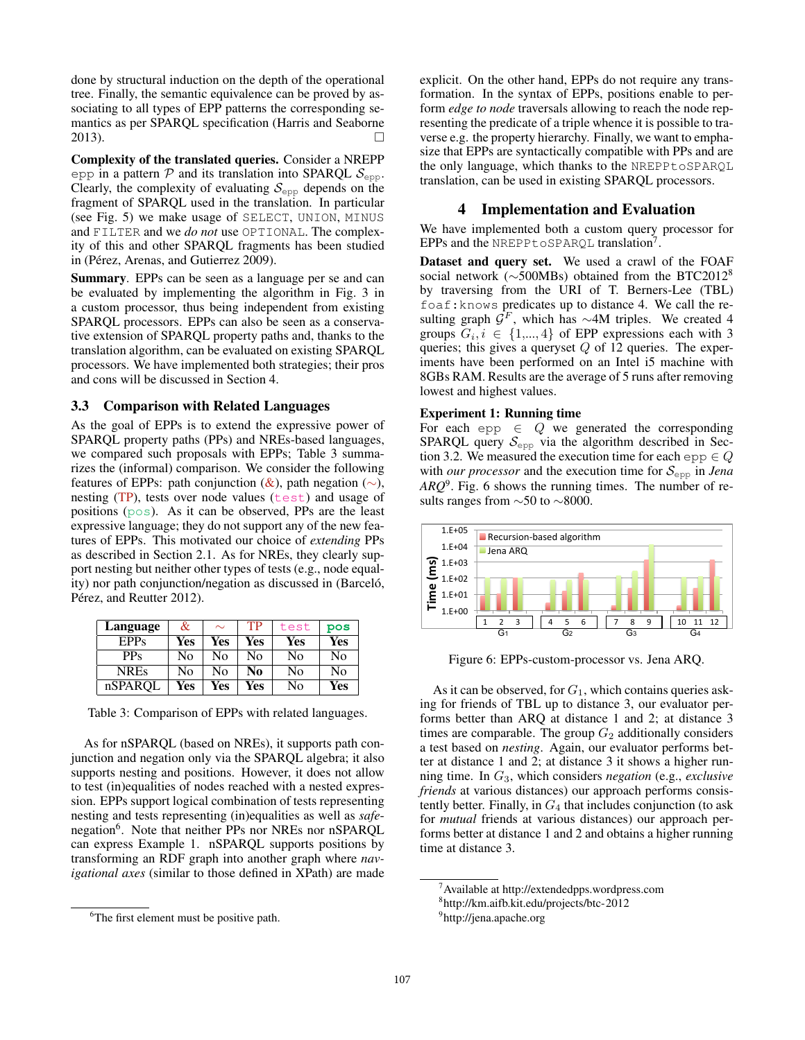done by structural induction on the depth of the operational tree. Finally, the semantic equivalence can be proved by associating to all types of EPP patterns the corresponding semantics as per SPARQL specification (Harris and Seaborne 2013).

Complexity of the translated queries. Consider a NREPP epp in a pattern  $\mathcal P$  and its translation into SPARQL  $\mathcal S_{\text{evo}}$ . Clearly, the complexity of evaluating  $S_{\text{epp}}$  depends on the fragment of SPARQL used in the translation. In particular (see Fig. 5) we make usage of SELECT, UNION, MINUS and FILTER and we *do not* use OPTIONAL. The complexity of this and other SPARQL fragments has been studied in (Pérez, Arenas, and Gutierrez 2009).

Summary. EPPs can be seen as a language per se and can be evaluated by implementing the algorithm in Fig. 3 in a custom processor, thus being independent from existing SPARQL processors. EPPs can also be seen as a conservative extension of SPARQL property paths and, thanks to the translation algorithm, can be evaluated on existing SPARQL processors. We have implemented both strategies; their pros and cons will be discussed in Section 4.

### 3.3 Comparison with Related Languages

As the goal of EPPs is to extend the expressive power of SPARQL property paths (PPs) and NREs-based languages, we compared such proposals with EPPs; Table 3 summarizes the (informal) comparison. We consider the following features of EPPs: path conjunction  $(x)$ , path negation  $(\sim)$ , nesting  $(TP)$ , tests over node values ( $test$ ) and usage of positions (pos). As it can be observed, PPs are the least expressive language; they do not support any of the new features of EPPs. This motivated our choice of *extending* PPs as described in Section 2.1. As for NREs, they clearly support nesting but neither other types of tests (e.g., node equality) nor path conjunction/negation as discussed in (Barceló, Pérez, and Reutter 2012).

| Language    | &   | $\sim$ | TP  | test | pos |
|-------------|-----|--------|-----|------|-----|
| EPPs        | Yes | Yes    | Yes | Yes  | Yes |
| $PP_S$      | No  | No     | N٥  | No   | No  |
| <b>NREs</b> | No  | No     | No  | No   | No  |
| nSPAROL     | Yes | Yes    | Yes | No   | Yes |

Table 3: Comparison of EPPs with related languages.

As for nSPARQL (based on NREs), it supports path conjunction and negation only via the SPARQL algebra; it also supports nesting and positions. However, it does not allow to test (in)equalities of nodes reached with a nested expression. EPPs support logical combination of tests representing nesting and tests representing (in)equalities as well as *safe*negation<sup>6</sup>. Note that neither PPs nor NREs nor nSPARQL can express Example 1. nSPARQL supports positions by transforming an RDF graph into another graph where *navigational axes* (similar to those defined in XPath) are made

explicit. On the other hand, EPPs do not require any transformation. In the syntax of EPPs, positions enable to perform *edge to node* traversals allowing to reach the node representing the predicate of a triple whence it is possible to traverse e.g. the property hierarchy. Finally, we want to emphasize that EPPs are syntactically compatible with PPs and are the only language, which thanks to the NREPPtoSPARQL translation, can be used in existing SPARQL processors.

# 4 Implementation and Evaluation

We have implemented both a custom query processor for EPPs and the NREPPtoSPARQL translation<sup>7</sup>.

Dataset and query set. We used a crawl of the FOAF social network (∼500MBs) obtained from the BTC2012<sup>8</sup> by traversing from the URI of T. Berners-Lee (TBL) foaf:knows predicates up to distance 4. We call the resulting graph  $\mathcal{G}^F$ , which has ∼4M triples. We created 4 groups  $G_i, i \in \{1, ..., 4\}$  of EPP expressions each with 3 queries; this gives a queryset  $Q$  of 12 queries. The experiments have been performed on an Intel i5 machine with 8GBs RAM. Results are the average of 5 runs after removing lowest and highest values.

### Experiment 1: Running time

For each epp  $\in$  Q we generated the corresponding SPARQL query  $S_{\text{epp}}$  via the algorithm described in Section 3.2. We measured the execution time for each epp  $\in Q$ with *our processor* and the execution time for  $S_{\text{epp}}$  in *Jena ARQ*<sup>9</sup> . Fig. 6 shows the running times. The number of results ranges from ∼50 to ∼8000.



Figure 6: EPPs-custom-processor vs. Jena ARQ.

As it can be observed, for  $G_1$ , which contains queries asking for friends of TBL up to distance 3, our evaluator performs better than ARQ at distance 1 and 2; at distance 3 times are comparable. The group  $G_2$  additionally considers a test based on *nesting*. Again, our evaluator performs better at distance 1 and 2; at distance 3 it shows a higher running time. In G3, which considers *negation* (e.g., *exclusive friends* at various distances) our approach performs consistently better. Finally, in  $G_4$  that includes conjunction (to ask for *mutual* friends at various distances) our approach performs better at distance 1 and 2 and obtains a higher running time at distance 3.

<sup>&</sup>lt;sup>6</sup>The first element must be positive path.

<sup>7</sup>Available at http://extendedpps.wordpress.com

<sup>8</sup> http://km.aifb.kit.edu/projects/btc-2012

<sup>&</sup>lt;sup>9</sup>http://jena.apache.org